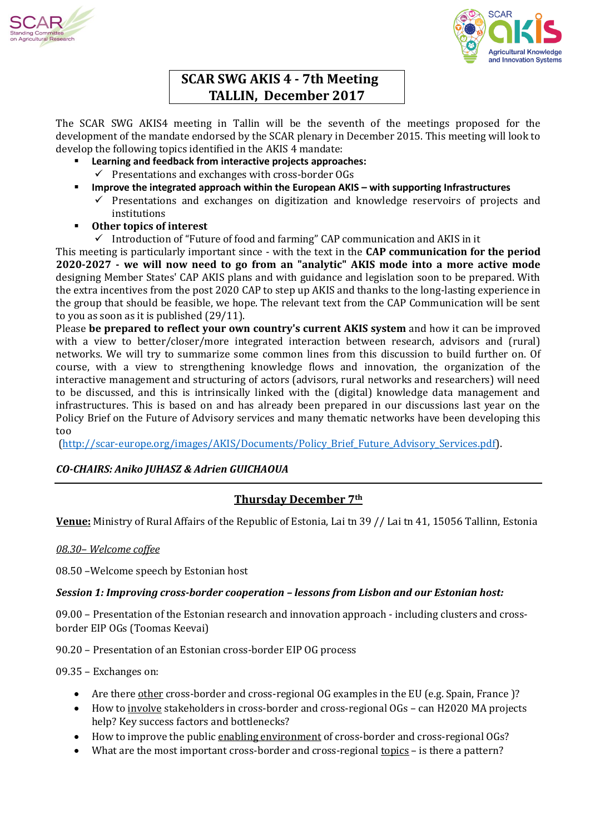



# **SCAR SWG AKIS 4 - 7th Meeting TALLIN, December 2017**

The SCAR SWG AKIS4 meeting in Tallin will be the seventh of the meetings proposed for the development of the mandate endorsed by the SCAR plenary in December 2015. This meeting will look to develop the following topics identified in the AKIS 4 mandate:

- **Learning and feedback from interactive projects approaches:**   $\checkmark$  Presentations and exchanges with cross-border OGs
- **Improve the integrated approach within the European AKIS – with supporting Infrastructures** 
	- $\checkmark$  Presentations and exchanges on digitization and knowledge reservoirs of projects and institutions
- **Other topics of interest**
	- $\checkmark$  Introduction of "Future of food and farming" CAP communication and AKIS in it

This meeting is particularly important since - with the text in the **CAP communication for the period 2020-2027 - we will now need to go from an "analytic" AKIS mode into a more active mode** designing Member States' CAP AKIS plans and with guidance and legislation soon to be prepared. With the extra incentives from the post 2020 CAP to step up AKIS and thanks to the long-lasting experience in the group that should be feasible, we hope. The relevant text from the CAP Communication will be sent to you as soon as it is published (29/11).

Please **be prepared to reflect your own country's current AKIS system** and how it can be improved with a view to better/closer/more integrated interaction between research, advisors and (rural) networks. We will try to summarize some common lines from this discussion to build further on. Of course, with a view to strengthening knowledge flows and innovation, the organization of the interactive management and structuring of actors (advisors, rural networks and researchers) will need to be discussed, and this is intrinsically linked with the (digital) knowledge data management and infrastructures. This is based on and has already been prepared in our discussions last year on the Policy Brief on the Future of Advisory services and many thematic networks have been developing this too

[\(http://scar-europe.org/images/AKIS/Documents/Policy\\_Brief\\_Future\\_Advisory\\_Services.pdf\)](http://scar-europe.org/images/AKIS/Documents/Policy_Brief_Future_Advisory_Services.pdf).

# *CO-CHAIRS: Aniko JUHASZ & Adrien GUICHAOUA*

# **Thursday December 7th**

**Venue:** Ministry of Rural Affairs of the Republic of Estonia, Lai tn 39 // Lai tn 41, 15056 Tallinn, Estonia

## *08.30– Welcome coffee*

08.50 –Welcome speech by Estonian host

## *Session 1: Improving cross-border cooperation – lessons from Lisbon and our Estonian host:*

09.00 – Presentation of the Estonian research and innovation approach - including clusters and crossborder EIP OGs (Toomas Keevai)

90.20 – Presentation of an Estonian cross-border EIP OG process

09.35 – Exchanges on:

- Are there other cross-border and cross-regional OG examples in the EU (e.g. Spain, France )?
- How to involve stakeholders in cross-border and cross-regional OGs can H2020 MA projects help? Key success factors and bottlenecks?
- How to improve the public enabling environment of cross-border and cross-regional OGs?
- What are the most important cross-border and cross-regional <u>topics</u> is there a pattern?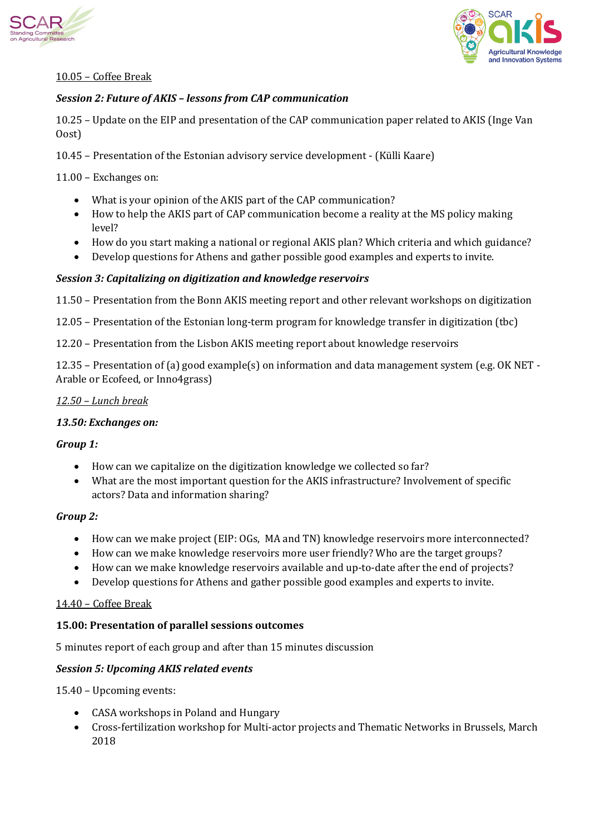



# 10.05 – Coffee Break

# *Session 2: Future of AKIS – lessons from CAP communication*

10.25 – Update on the EIP and presentation of the CAP communication paper related to AKIS (Inge Van Oost)

10.45 – Presentation of the Estonian advisory service development - (Külli Kaare)

11.00 – Exchanges on:

- What is your opinion of the AKIS part of the CAP communication?
- How to help the AKIS part of CAP communication become a reality at the MS policy making level?
- How do you start making a national or regional AKIS plan? Which criteria and which guidance?
- Develop questions for Athens and gather possible good examples and experts to invite.

## *Session 3: Capitalizing on digitization and knowledge reservoirs*

11.50 – Presentation from the Bonn AKIS meeting report and other relevant workshops on digitization

12.05 – Presentation of the Estonian long-term program for knowledge transfer in digitization (tbc)

12.20 – Presentation from the Lisbon AKIS meeting report about knowledge reservoirs

12.35 – Presentation of (a) good example(s) on information and data management system (e.g. OK NET - Arable or Ecofeed, or Inno4grass)

### *12.50 – Lunch break*

### *13.50: Exchanges on:*

### *Group 1:*

- How can we capitalize on the digitization knowledge we collected so far?
- What are the most important question for the AKIS infrastructure? Involvement of specific actors? Data and information sharing?

### *Group 2:*

- How can we make project (EIP: OGs, MA and TN) knowledge reservoirs more interconnected?
- How can we make knowledge reservoirs more user friendly? Who are the target groups?
- How can we make knowledge reservoirs available and up-to-date after the end of projects?
- Develop questions for Athens and gather possible good examples and experts to invite.

### 14.40 – Coffee Break

### **15.00: Presentation of parallel sessions outcomes**

5 minutes report of each group and after than 15 minutes discussion

### *Session 5: Upcoming AKIS related events*

15.40 – Upcoming events:

- CASA workshops in Poland and Hungary
- Cross-fertilization workshop for Multi-actor projects and Thematic Networks in Brussels, March 2018